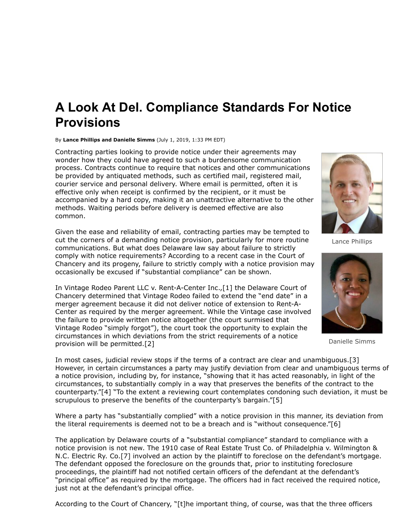## **A Look At Del. Compliance Standards For Notice Provisions**

## By **Lance Phillips and Danielle Simms** (July 1, 2019, 1:33 PM EDT)

Contracting parties looking to provide notice under their agreements may wonder how they could have agreed to such a burdensome communication process. Contracts continue to require that notices and other communications be provided by antiquated methods, such as certified mail, registered mail, courier service and personal delivery. Where email is permitted, often it is effective only when receipt is confirmed by the recipient, or it must be accompanied by a hard copy, making it an unattractive alternative to the other methods. Waiting periods before delivery is deemed effective are also common.

Given the ease and reliability of email, contracting parties may be tempted to cut the corners of a demanding notice provision, particularly for more routine communications. But what does Delaware law say about failure to strictly comply with notice requirements? According to a recent case in the Court of Chancery and its progeny, failure to strictly comply with a notice provision may occasionally be excused if "substantial compliance" can be shown.

In Vintage Rodeo Parent LLC v. [Rent-A-Center Inc.](https://www.law360.com/companies/rent-a-center-inc),[1] the Delaware Court of [Chancery determined that Vintage Rodeo failed to extend the "end date" in a](https://www.law360.com/agencies/delaware-court-of-chancery) merger agreement because it did not deliver notice of extension to Rent-A-Center as required by the merger agreement. While the Vintage case involved the failure to provide written notice altogether (the court surmised that Vintage Rodeo "simply forgot"), the court took the opportunity to explain the circumstances in which deviations from the strict requirements of a notice provision will be permitted.[2]



Lance Phillips



Danielle Simms

In most cases, judicial review stops if the terms of a contract are clear and unambiguous.[3] However, in certain circumstances a party may justify deviation from clear and unambiguous terms of a notice provision, including by, for instance, "showing that it has acted reasonably, in light of the circumstances, to substantially comply in a way that preserves the benefits of the contract to the counterparty."[4] "To the extent a reviewing court contemplates condoning such deviation, it must be scrupulous to preserve the benefits of the counterparty's bargain."[5]

Where a party has "substantially complied" with a notice provision in this manner, its deviation from the literal requirements is deemed not to be a breach and is "without consequence."[6]

The application by Delaware courts of a "substantial compliance" standard to compliance with a notice provision is not new. The 1910 case of Real Estate Trust Co. of Philadelphia v. Wilmington & N.C. Electric Ry. Co.[7] involved an action by the plaintiff to foreclose on the defendant's mortgage. The defendant opposed the foreclosure on the grounds that, prior to instituting foreclosure proceedings, the plaintiff had not notified certain officers of the defendant at the defendant's "principal office" as required by the mortgage. The officers had in fact received the required notice, just not at the defendant's principal office.

According to the Court of Chancery, "[t]he important thing, of course, was that the three officers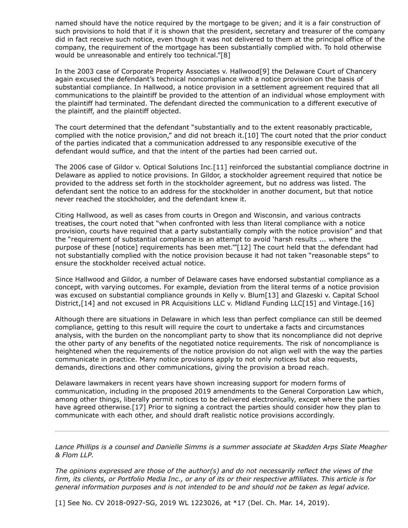named should have the notice required by the mortgage to be given; and it is a fair construction of such provisions to hold that if it is shown that the president, secretary and treasurer of the company did in fact receive such notice, even though it was not delivered to them at the principal office of the company, the requirement of the mortgage has been substantially complied with. To hold otherwise would be unreasonable and entirely too technical."[8]

In the 2003 case of Corporate Property Associates v. Hallwood[9] the Delaware Court of Chancery again excused the defendant's technical noncompliance with a notice provision on the basis of substantial compliance. In Hallwood, a notice provision in a settlement agreement required that all communications to the plaintiff be provided to the attention of an individual whose employment with the plaintiff had terminated. The defendant directed the communication to a different executive of the plaintiff, and the plaintiff objected.

The court determined that the defendant "substantially and to the extent reasonably practicable, complied with the notice provision," and did not breach it.[10] The court noted that the prior conduct of the parties indicated that a communication addressed to any responsible executive of the defendant would suffice, and that the intent of the parties had been carried out.

The 2006 case of Gildor v. Optical Solutions Inc.[11] reinforced the substantial compliance doctrine in Delaware as applied to notice provisions. In Gildor, a stockholder agreement required that notice be provided to the address set forth in the stockholder agreement, but no address was listed. The defendant sent the notice to an address for the stockholder in another document, but that notice never reached the stockholder, and the defendant knew it.

Citing Hallwood, as well as cases from courts in Oregon and Wisconsin, and various contracts treatises, the court noted that "when confronted with less than literal compliance with a notice provision, courts have required that a party substantially comply with the notice provision" and that the "requirement of substantial compliance is an attempt to avoid 'harsh results ... where the purpose of these [notice] requirements has been met.'"[12] The court held that the defendant had not substantially complied with the notice provision because it had not taken "reasonable steps" to ensure the stockholder received actual notice.

Since Hallwood and Gildor, a number of Delaware cases have endorsed substantial compliance as a concept, with varying outcomes. For example, deviation from the literal terms of a notice provision was excused on substantial compliance grounds in Kelly v. Blum[13] and Glazeski v. Capital School District,[14] and not excused in PR Acquisitions LLC v. Midland Funding LLC[15] and Vintage.[16]

Although there are situations in Delaware in which less than perfect compliance can still be deemed compliance, getting to this result will require the court to undertake a facts and circumstances analysis, with the burden on the noncompliant party to show that its noncompliance did not deprive the other party of any benefits of the negotiated notice requirements. The risk of noncompliance is heightened when the requirements of the notice provision do not align well with the way the parties communicate in practice. Many notice provisions apply to not only notices but also requests, demands, directions and other communications, giving the provision a broad reach.

Delaware lawmakers in recent years have shown increasing support for modern forms of communication, including in the proposed 2019 amendments to the General Corporation Law which, among other things, liberally permit notices to be delivered electronically, except where the parties have agreed otherwise.[17] Prior to signing a contract the parties should consider how they plan to communicate with each other, and should draft realistic notice provisions accordingly.

*[Lance Phillips](https://www.skadden.com/professionals/p/phillips-lance-j) [is a counsel and Danielle Simms is a summer associate at Skadden Arps Slate Meagher](https://www.law360.com/firms/skadden) & Flom LLP.*

*The opinions expressed are those of the author(s) and do not necessarily reflect the views of the firm, its clients, or Portfolio Media Inc., or any of its or their respective affiliates. This article is for general information purposes and is not intended to be and should not be taken as legal advice.*

[1] See No. CV 2018-0927-SG, 2019 WL 1223026, at \*17 (Del. Ch. Mar. 14, 2019).